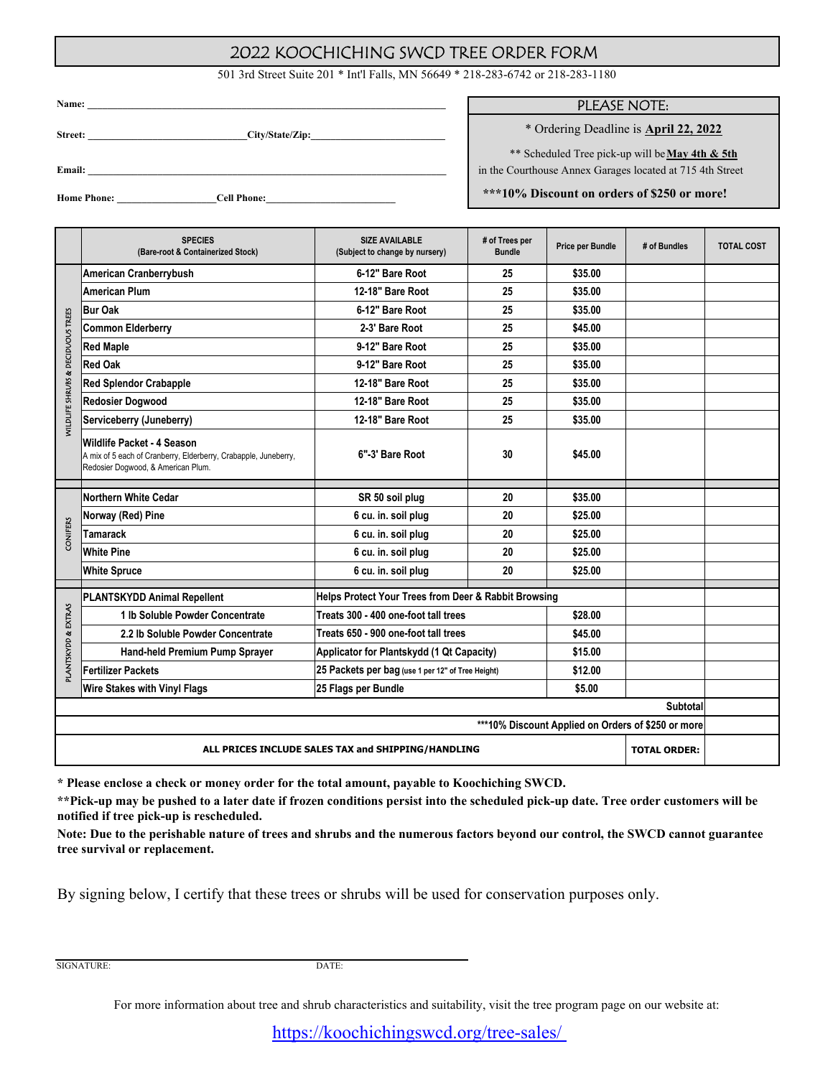## 2022 KOOCHICHING SWCD TREE ORDER FORM

501 3rd Street Suite 201 \* Int'l Falls, MN 56649 \* 218-283-6742 or 218-283-1180

| Name:              | <u> 1980 - Jan Barbara, martxa al II-lea (h. 1980).</u> |  |
|--------------------|---------------------------------------------------------|--|
| Street:            | City/State/Zip:                                         |  |
| Email:             |                                                         |  |
| <b>Home Phone:</b> | <b>Cell Phone:</b>                                      |  |

## PLEASE NOTE:

\* Ordering Deadline is **April 22, 2022**

\*\* Scheduled Tree pick-up will be **May 4th & 5th**

in the Courthouse Annex Garages located at 715 4th Street

 **\*\*\*10% Discount on orders of \$250 or more!**

|                                                                           | <b>SPECIES</b><br>(Bare-root & Containerized Stock)                                                                                 | <b>SIZE AVAILABLE</b><br># of Trees per<br>(Subject to change by nursery)<br><b>Bundle</b> |         | <b>Price per Bundle</b> | # of Bundles | <b>TOTAL COST</b> |  |  |  |
|---------------------------------------------------------------------------|-------------------------------------------------------------------------------------------------------------------------------------|--------------------------------------------------------------------------------------------|---------|-------------------------|--------------|-------------------|--|--|--|
|                                                                           | American Cranberrybush                                                                                                              | 6-12" Bare Root                                                                            | 25      | \$35.00                 |              |                   |  |  |  |
|                                                                           | <b>American Plum</b>                                                                                                                | 12-18" Bare Root                                                                           | 25      | \$35.00                 |              |                   |  |  |  |
|                                                                           | <b>Bur Oak</b>                                                                                                                      | 6-12" Bare Root                                                                            | 25      | \$35.00                 |              |                   |  |  |  |
| DECIDUOUS TREES<br>ø                                                      | <b>Common Elderberry</b>                                                                                                            | 2-3' Bare Root                                                                             | 25      | \$45.00                 |              |                   |  |  |  |
|                                                                           | <b>Red Maple</b>                                                                                                                    | 9-12" Bare Root                                                                            | 25      | \$35.00                 |              |                   |  |  |  |
|                                                                           | <b>Red Oak</b>                                                                                                                      | 9-12" Bare Root                                                                            | 25      | \$35.00                 |              |                   |  |  |  |
|                                                                           | <b>Red Splendor Crabapple</b>                                                                                                       | 12-18" Bare Root                                                                           | 25      | \$35.00                 |              |                   |  |  |  |
| <b>MILDLIFE SHRUBS</b>                                                    | <b>Redosier Dogwood</b>                                                                                                             | 12-18" Bare Root                                                                           | 25      | \$35.00                 |              |                   |  |  |  |
|                                                                           | Serviceberry (Juneberry)                                                                                                            | 12-18" Bare Root                                                                           | 25      | \$35.00                 |              |                   |  |  |  |
|                                                                           | Wildlife Packet - 4 Season<br>A mix of 5 each of Cranberry, Elderberry, Crabapple, Juneberry,<br>Redosier Dogwood, & American Plum. | 6"-3' Bare Root                                                                            | 30      | \$45.00                 |              |                   |  |  |  |
|                                                                           | <b>Northern White Cedar</b>                                                                                                         | SR 50 soil plug                                                                            | 20      | \$35.00                 |              |                   |  |  |  |
|                                                                           | Norway (Red) Pine                                                                                                                   | 6 cu. in. soil plug                                                                        | 20      | \$25.00                 |              |                   |  |  |  |
| <b>CONIFERS</b>                                                           | Tamarack                                                                                                                            | 6 cu. in. soil plug                                                                        | 20      | \$25.00                 |              |                   |  |  |  |
|                                                                           | <b>White Pine</b>                                                                                                                   | 6 cu. in. soil plug                                                                        | 20      | \$25.00                 |              |                   |  |  |  |
|                                                                           | <b>White Spruce</b>                                                                                                                 | 6 cu. in. soil plug                                                                        | 20      | \$25.00                 |              |                   |  |  |  |
|                                                                           |                                                                                                                                     |                                                                                            |         |                         |              |                   |  |  |  |
|                                                                           | <b>PLANTSKYDD Animal Repellent</b>                                                                                                  | Helps Protect Your Trees from Deer & Rabbit Browsing                                       |         |                         |              |                   |  |  |  |
| EXTRAS                                                                    | 1 Ib Soluble Powder Concentrate                                                                                                     | Treats 300 - 400 one-foot tall trees                                                       | \$28.00 |                         |              |                   |  |  |  |
|                                                                           | 2.2 lb Soluble Powder Concentrate                                                                                                   | Treats 650 - 900 one-foot tall trees                                                       | \$45.00 |                         |              |                   |  |  |  |
|                                                                           | Hand-held Premium Pump Sprayer                                                                                                      | Applicator for Plantskydd (1 Qt Capacity)                                                  | \$15.00 |                         |              |                   |  |  |  |
| <b>PLANTSKYDD&amp;</b>                                                    | <b>Fertilizer Packets</b>                                                                                                           | 25 Packets per bag (use 1 per 12" of Tree Height)                                          | \$12.00 |                         |              |                   |  |  |  |
|                                                                           | <b>Wire Stakes with Vinyl Flags</b>                                                                                                 | 25 Flags per Bundle<br>\$5.00                                                              |         |                         |              |                   |  |  |  |
| Subtotal                                                                  |                                                                                                                                     |                                                                                            |         |                         |              |                   |  |  |  |
| ***10% Discount Applied on Orders of \$250 or more                        |                                                                                                                                     |                                                                                            |         |                         |              |                   |  |  |  |
| <b>TOTAL ORDER:</b><br>ALL PRICES INCLUDE SALES TAX and SHIPPING/HANDLING |                                                                                                                                     |                                                                                            |         |                         |              |                   |  |  |  |

**\* Please enclose a check or money order for the total amount, payable to Koochiching SWCD.** 

**\*\*Pick-up may be pushed to a later date if frozen conditions persist into the scheduled pick-up date. Tree order customers will be notified if tree pick-up is rescheduled.**

**Note: Due to the perishable nature of trees and shrubs and the numerous factors beyond our control, the SWCD cannot guarantee tree survival or replacement.** 

By signing below, I certify that these trees or shrubs will be used for conservation purposes only.

SIGNATURE:

DATE:

For more information about tree and shrub characteristics and suitability, visit the tree program page on our website at:

https://koochichingswcd.org/tree-sales/